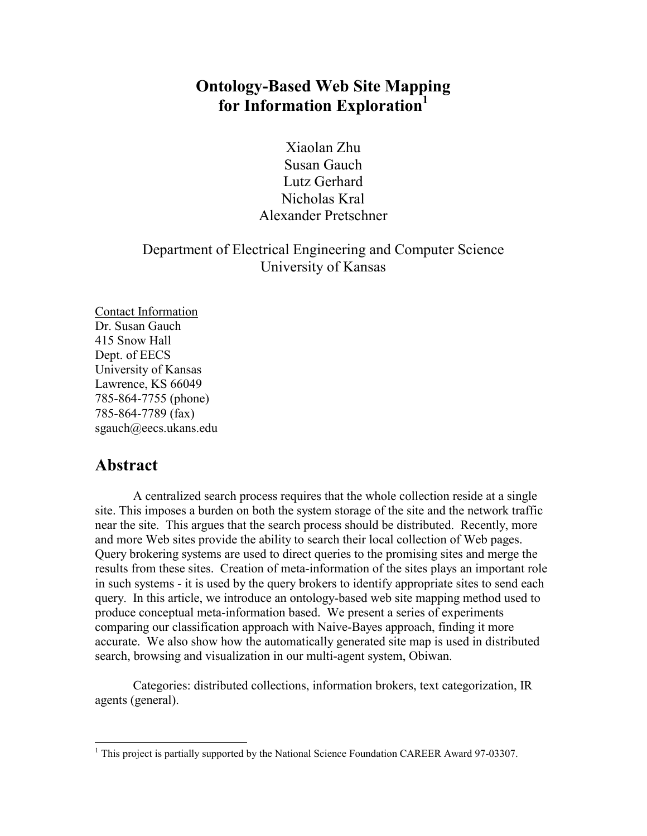# **Ontology-Based Web Site Mapping for Information Exploration<sup>1</sup>**

Xiaolan Zhu Susan Gauch Lutz Gerhard Nicholas Kral Alexander Pretschner

## Department of Electrical Engineering and Computer Science University of Kansas

Contact Information Dr. Susan Gauch 415 Snow Hall Dept. of EECS University of Kansas Lawrence, KS 66049 785-864-7755 (phone) 785-864-7789 (fax) sgauch@eecs.ukans.edu

## **Abstract**

 $\overline{a}$ 

A centralized search process requires that the whole collection reside at a single site. This imposes a burden on both the system storage of the site and the network traffic near the site. This argues that the search process should be distributed. Recently, more and more Web sites provide the ability to search their local collection of Web pages. Query brokering systems are used to direct queries to the promising sites and merge the results from these sites. Creation of meta-information of the sites plays an important role in such systems - it is used by the query brokers to identify appropriate sites to send each query. In this article, we introduce an ontology-based web site mapping method used to produce conceptual meta-information based. We present a series of experiments comparing our classification approach with Naive-Bayes approach, finding it more accurate. We also show how the automatically generated site map is used in distributed search, browsing and visualization in our multi-agent system, Obiwan.

Categories: distributed collections, information brokers, text categorization, IR agents (general).

<sup>&</sup>lt;sup>1</sup> This project is partially supported by the National Science Foundation CAREER Award 97-03307.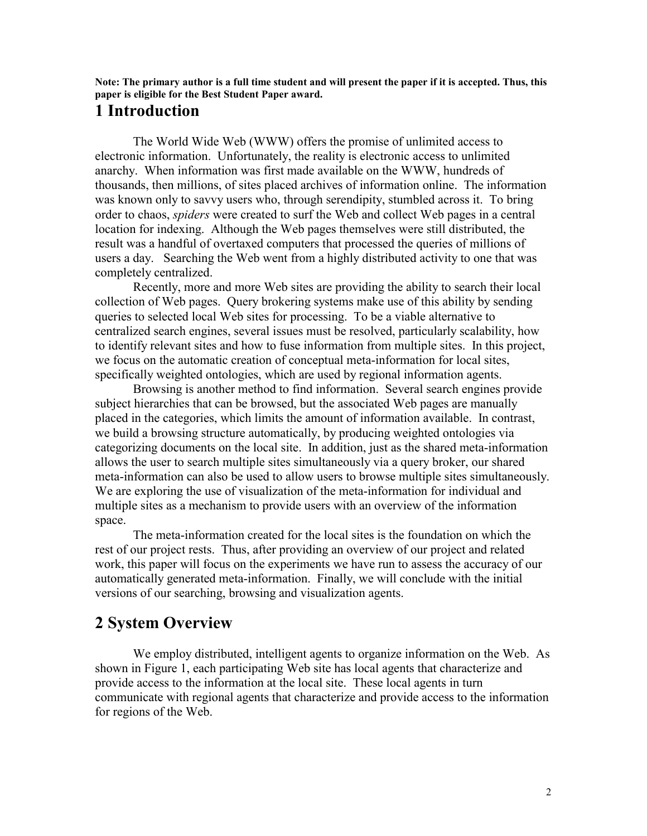**Note: The primary author is a full time student and will present the paper if it is accepted. Thus, this paper is eligible for the Best Student Paper award.** 

# **1 Introduction**

The World Wide Web (WWW) offers the promise of unlimited access to electronic information. Unfortunately, the reality is electronic access to unlimited anarchy. When information was first made available on the WWW, hundreds of thousands, then millions, of sites placed archives of information online. The information was known only to savvy users who, through serendipity, stumbled across it. To bring order to chaos, *spiders* were created to surf the Web and collect Web pages in a central location for indexing. Although the Web pages themselves were still distributed, the result was a handful of overtaxed computers that processed the queries of millions of users a day. Searching the Web went from a highly distributed activity to one that was completely centralized.

Recently, more and more Web sites are providing the ability to search their local collection of Web pages. Query brokering systems make use of this ability by sending queries to selected local Web sites for processing. To be a viable alternative to centralized search engines, several issues must be resolved, particularly scalability, how to identify relevant sites and how to fuse information from multiple sites. In this project, we focus on the automatic creation of conceptual meta-information for local sites, specifically weighted ontologies, which are used by regional information agents.

Browsing is another method to find information. Several search engines provide subject hierarchies that can be browsed, but the associated Web pages are manually placed in the categories, which limits the amount of information available. In contrast, we build a browsing structure automatically, by producing weighted ontologies via categorizing documents on the local site. In addition, just as the shared meta-information allows the user to search multiple sites simultaneously via a query broker, our shared meta-information can also be used to allow users to browse multiple sites simultaneously. We are exploring the use of visualization of the meta-information for individual and multiple sites as a mechanism to provide users with an overview of the information space.

The meta-information created for the local sites is the foundation on which the rest of our project rests. Thus, after providing an overview of our project and related work, this paper will focus on the experiments we have run to assess the accuracy of our automatically generated meta-information. Finally, we will conclude with the initial versions of our searching, browsing and visualization agents.

# **2 System Overview**

We employ distributed, intelligent agents to organize information on the Web. As shown in Figure 1, each participating Web site has local agents that characterize and provide access to the information at the local site. These local agents in turn communicate with regional agents that characterize and provide access to the information for regions of the Web.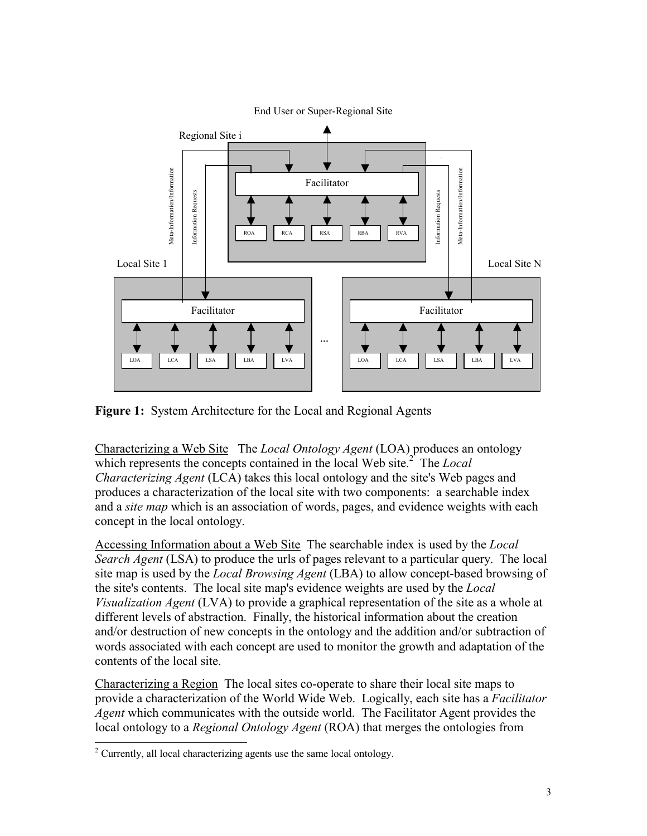

**Figure 1:** System Architecture for the Local and Regional Agents

Characterizing a Web Site The *Local Ontology Agent* (LOA) produces an ontology which represents the concepts contained in the local Web site.<sup>2</sup> The *Local Characterizing Agent* (LCA) takes this local ontology and the site's Web pages and produces a characterization of the local site with two components: a searchable index and a *site map* which is an association of words, pages, and evidence weights with each concept in the local ontology.

Accessing Information about a Web Site The searchable index is used by the *Local Search Agent* (LSA) to produce the urls of pages relevant to a particular query. The local site map is used by the *Local Browsing Agent* (LBA) to allow concept-based browsing of the site's contents. The local site map's evidence weights are used by the *Local Visualization Agent* (LVA) to provide a graphical representation of the site as a whole at different levels of abstraction. Finally, the historical information about the creation and/or destruction of new concepts in the ontology and the addition and/or subtraction of words associated with each concept are used to monitor the growth and adaptation of the contents of the local site.

Characterizing a Region The local sites co-operate to share their local site maps to provide a characterization of the World Wide Web. Logically, each site has a *Facilitator Agent* which communicates with the outside world. The Facilitator Agent provides the local ontology to a *Regional Ontology Agent* (ROA) that merges the ontologies from

 $\overline{a}$ 

 $2^2$  Currently, all local characterizing agents use the same local ontology.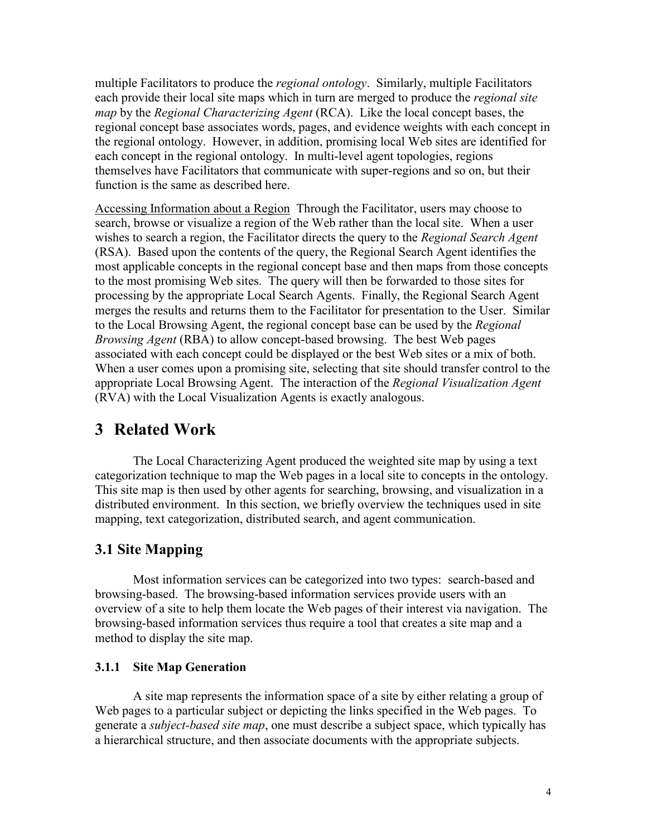multiple Facilitators to produce the *regional ontology*. Similarly, multiple Facilitators each provide their local site maps which in turn are merged to produce the *regional site map* by the *Regional Characterizing Agent* (RCA). Like the local concept bases, the regional concept base associates words, pages, and evidence weights with each concept in the regional ontology. However, in addition, promising local Web sites are identified for each concept in the regional ontology. In multi-level agent topologies, regions themselves have Facilitators that communicate with super-regions and so on, but their function is the same as described here.

Accessing Information about a Region Through the Facilitator, users may choose to search, browse or visualize a region of the Web rather than the local site. When a user wishes to search a region, the Facilitator directs the query to the *Regional Search Agent*  (RSA). Based upon the contents of the query, the Regional Search Agent identifies the most applicable concepts in the regional concept base and then maps from those concepts to the most promising Web sites. The query will then be forwarded to those sites for processing by the appropriate Local Search Agents. Finally, the Regional Search Agent merges the results and returns them to the Facilitator for presentation to the User. Similar to the Local Browsing Agent, the regional concept base can be used by the *Regional Browsing Agent* (RBA) to allow concept-based browsing. The best Web pages associated with each concept could be displayed or the best Web sites or a mix of both. When a user comes upon a promising site, selecting that site should transfer control to the appropriate Local Browsing Agent. The interaction of the *Regional Visualization Agent* (RVA) with the Local Visualization Agents is exactly analogous.

# **3 Related Work**

The Local Characterizing Agent produced the weighted site map by using a text categorization technique to map the Web pages in a local site to concepts in the ontology. This site map is then used by other agents for searching, browsing, and visualization in a distributed environment. In this section, we briefly overview the techniques used in site mapping, text categorization, distributed search, and agent communication.

## **3.1 Site Mapping**

Most information services can be categorized into two types: search-based and browsing-based. The browsing-based information services provide users with an overview of a site to help them locate the Web pages of their interest via navigation. The browsing-based information services thus require a tool that creates a site map and a method to display the site map.

### **3.1.1 Site Map Generation**

A site map represents the information space of a site by either relating a group of Web pages to a particular subject or depicting the links specified in the Web pages. To generate a *subject-based site map*, one must describe a subject space, which typically has a hierarchical structure, and then associate documents with the appropriate subjects.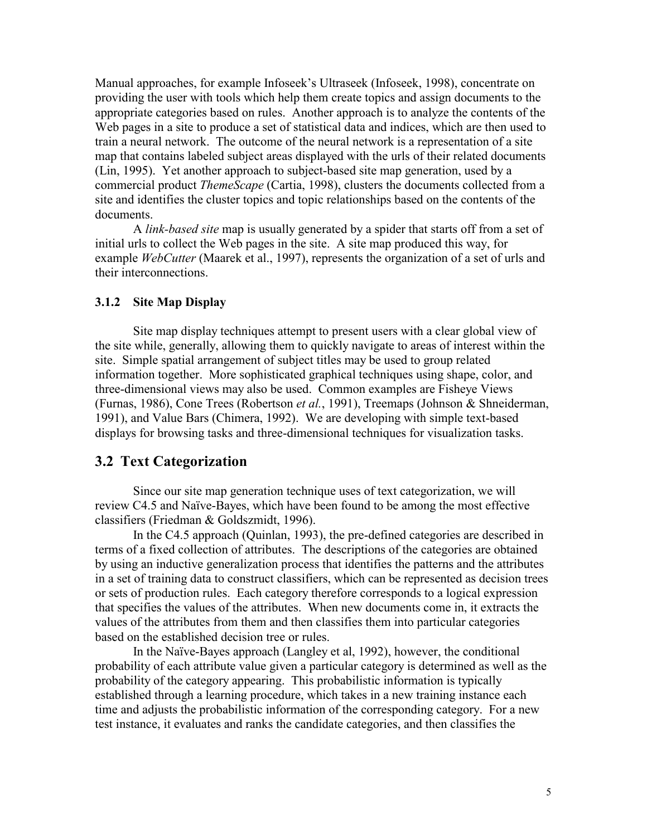Manual approaches, for example Infoseek's Ultraseek (Infoseek, 1998), concentrate on providing the user with tools which help them create topics and assign documents to the appropriate categories based on rules. Another approach is to analyze the contents of the Web pages in a site to produce a set of statistical data and indices, which are then used to train a neural network. The outcome of the neural network is a representation of a site map that contains labeled subject areas displayed with the urls of their related documents (Lin, 1995). Yet another approach to subject-based site map generation, used by a commercial product *ThemeScape* (Cartia, 1998), clusters the documents collected from a site and identifies the cluster topics and topic relationships based on the contents of the documents.

A *link-based site* map is usually generated by a spider that starts off from a set of initial urls to collect the Web pages in the site. A site map produced this way, for example *WebCutter* (Maarek et al., 1997), represents the organization of a set of urls and their interconnections.

#### **3.1.2 Site Map Display**

Site map display techniques attempt to present users with a clear global view of the site while, generally, allowing them to quickly navigate to areas of interest within the site. Simple spatial arrangement of subject titles may be used to group related information together. More sophisticated graphical techniques using shape, color, and three-dimensional views may also be used. Common examples are Fisheye Views (Furnas, 1986), Cone Trees (Robertson *et al.*, 1991), Treemaps (Johnson & Shneiderman, 1991), and Value Bars (Chimera, 1992). We are developing with simple text-based displays for browsing tasks and three-dimensional techniques for visualization tasks.

#### **3.2 Text Categorization**

Since our site map generation technique uses of text categorization, we will review C4.5 and Naïve-Bayes, which have been found to be among the most effective classifiers (Friedman & Goldszmidt, 1996).

In the C4.5 approach (Quinlan, 1993), the pre-defined categories are described in terms of a fixed collection of attributes. The descriptions of the categories are obtained by using an inductive generalization process that identifies the patterns and the attributes in a set of training data to construct classifiers, which can be represented as decision trees or sets of production rules. Each category therefore corresponds to a logical expression that specifies the values of the attributes. When new documents come in, it extracts the values of the attributes from them and then classifies them into particular categories based on the established decision tree or rules.

In the Naïve-Bayes approach (Langley et al, 1992), however, the conditional probability of each attribute value given a particular category is determined as well as the probability of the category appearing. This probabilistic information is typically established through a learning procedure, which takes in a new training instance each time and adjusts the probabilistic information of the corresponding category. For a new test instance, it evaluates and ranks the candidate categories, and then classifies the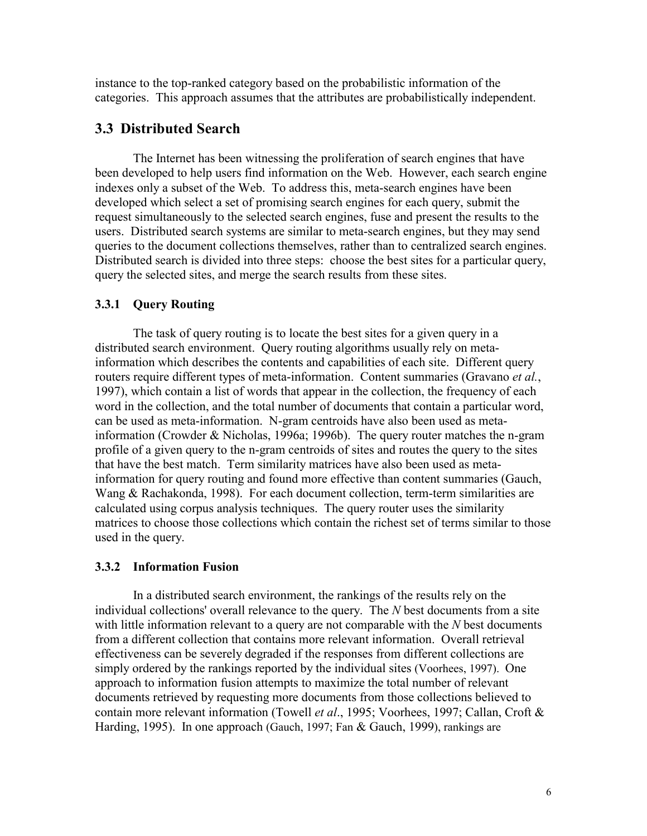instance to the top-ranked category based on the probabilistic information of the categories. This approach assumes that the attributes are probabilistically independent.

## **3.3 Distributed Search**

The Internet has been witnessing the proliferation of search engines that have been developed to help users find information on the Web. However, each search engine indexes only a subset of the Web. To address this, meta-search engines have been developed which select a set of promising search engines for each query, submit the request simultaneously to the selected search engines, fuse and present the results to the users. Distributed search systems are similar to meta-search engines, but they may send queries to the document collections themselves, rather than to centralized search engines. Distributed search is divided into three steps: choose the best sites for a particular query, query the selected sites, and merge the search results from these sites.

### **3.3.1 Query Routing**

The task of query routing is to locate the best sites for a given query in a distributed search environment. Query routing algorithms usually rely on metainformation which describes the contents and capabilities of each site. Different query routers require different types of meta-information. Content summaries (Gravano *et al.*, 1997), which contain a list of words that appear in the collection, the frequency of each word in the collection, and the total number of documents that contain a particular word, can be used as meta-information. N-gram centroids have also been used as metainformation (Crowder & Nicholas, 1996a; 1996b). The query router matches the n-gram profile of a given query to the n-gram centroids of sites and routes the query to the sites that have the best match. Term similarity matrices have also been used as metainformation for query routing and found more effective than content summaries (Gauch, Wang & Rachakonda, 1998). For each document collection, term-term similarities are calculated using corpus analysis techniques. The query router uses the similarity matrices to choose those collections which contain the richest set of terms similar to those used in the query.

### **3.3.2 Information Fusion**

In a distributed search environment, the rankings of the results rely on the individual collections' overall relevance to the query. The *N* best documents from a site with little information relevant to a query are not comparable with the *N* best documents from a different collection that contains more relevant information. Overall retrieval effectiveness can be severely degraded if the responses from different collections are simply ordered by the rankings reported by the individual sites (Voorhees, 1997). One approach to information fusion attempts to maximize the total number of relevant documents retrieved by requesting more documents from those collections believed to contain more relevant information (Towell *et al*., 1995; Voorhees, 1997; Callan, Croft & Harding, 1995). In one approach (Gauch, 1997; Fan & Gauch, 1999), rankings are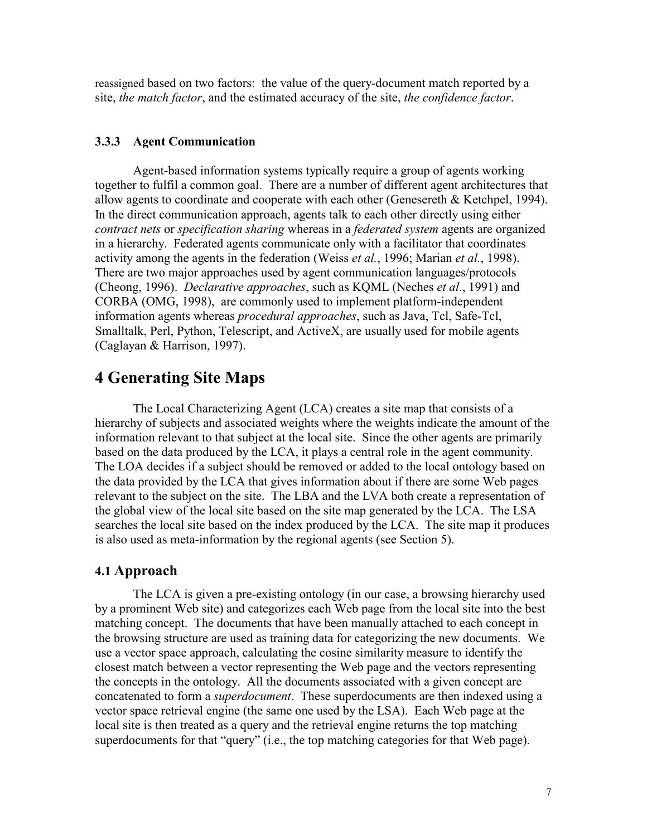reassigned based on two factors: the value of the query-document match reported by a site, *the match factor*, and the estimated accuracy of the site, *the confidence factor*.

#### **3.3.3 Agent Communication**

Agent-based information systems typically require a group of agents working together to fulfil a common goal. There are a number of different agent architectures that allow agents to coordinate and cooperate with each other (Genesereth & Ketchpel, 1994). In the direct communication approach, agents talk to each other directly using either *contract nets* or *specification sharing* whereas in a *federated system* agents are organized in a hierarchy. Federated agents communicate only with a facilitator that coordinates activity among the agents in the federation (Weiss *et al.*, 1996; Marian *et al.*, 1998). There are two major approaches used by agent communication languages/protocols (Cheong, 1996). *Declarative approaches*, such as KQML (Neches *et al*., 1991) and CORBA (OMG, 1998), are commonly used to implement platform-independent information agents whereas *procedural approaches*, such as Java, Tcl, Safe-Tcl, Smalltalk, Perl, Python, Telescript, and ActiveX, are usually used for mobile agents (Caglayan & Harrison, 1997).

## **4 Generating Site Maps**

The Local Characterizing Agent (LCA) creates a site map that consists of a hierarchy of subjects and associated weights where the weights indicate the amount of the information relevant to that subject at the local site. Since the other agents are primarily based on the data produced by the LCA, it plays a central role in the agent community. The LOA decides if a subject should be removed or added to the local ontology based on the data provided by the LCA that gives information about if there are some Web pages relevant to the subject on the site. The LBA and the LVA both create a representation of the global view of the local site based on the site map generated by the LCA. The LSA searches the local site based on the index produced by the LCA. The site map it produces is also used as meta-information by the regional agents (see Section 5).

### **4.1 Approach**

The LCA is given a pre-existing ontology (in our case, a browsing hierarchy used by a prominent Web site) and categorizes each Web page from the local site into the best matching concept. The documents that have been manually attached to each concept in the browsing structure are used as training data for categorizing the new documents. We use a vector space approach, calculating the cosine similarity measure to identify the closest match between a vector representing the Web page and the vectors representing the concepts in the ontology. All the documents associated with a given concept are concatenated to form a *superdocument*. These superdocuments are then indexed using a vector space retrieval engine (the same one used by the LSA). Each Web page at the local site is then treated as a query and the retrieval engine returns the top matching superdocuments for that "query" (i.e., the top matching categories for that Web page).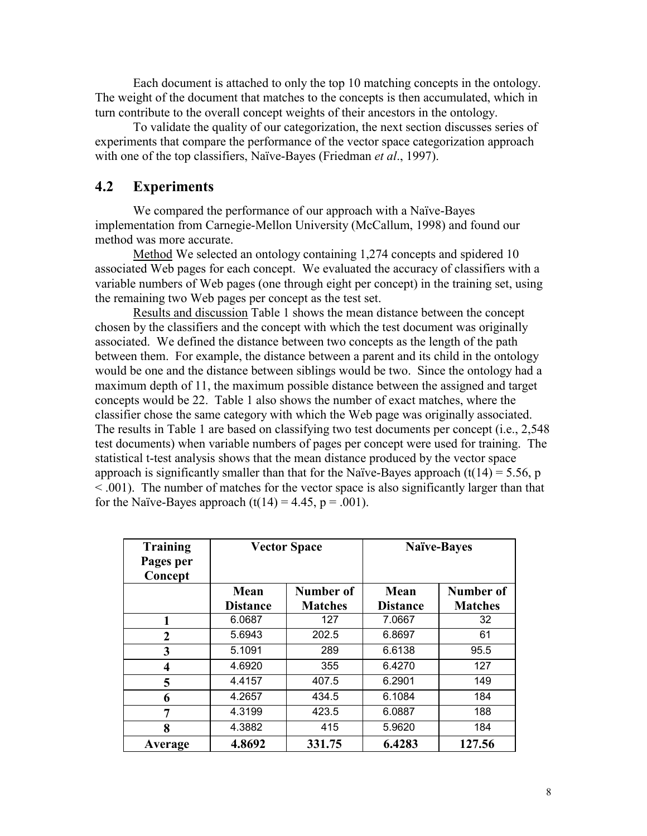Each document is attached to only the top 10 matching concepts in the ontology. The weight of the document that matches to the concepts is then accumulated, which in turn contribute to the overall concept weights of their ancestors in the ontology.

To validate the quality of our categorization, the next section discusses series of experiments that compare the performance of the vector space categorization approach with one of the top classifiers, Naïve-Bayes (Friedman *et al*., 1997).

## **4.2 Experiments**

We compared the performance of our approach with a Naïve-Bayes implementation from Carnegie-Mellon University (McCallum, 1998) and found our method was more accurate.

Method We selected an ontology containing 1,274 concepts and spidered 10 associated Web pages for each concept. We evaluated the accuracy of classifiers with a variable numbers of Web pages (one through eight per concept) in the training set, using the remaining two Web pages per concept as the test set.

Results and discussion Table 1 shows the mean distance between the concept chosen by the classifiers and the concept with which the test document was originally associated. We defined the distance between two concepts as the length of the path between them. For example, the distance between a parent and its child in the ontology would be one and the distance between siblings would be two. Since the ontology had a maximum depth of 11, the maximum possible distance between the assigned and target concepts would be 22.Table 1 also shows the number of exact matches, where the classifier chose the same category with which the Web page was originally associated. The results in Table 1 are based on classifying two test documents per concept (i.e., 2,548 test documents) when variable numbers of pages per concept were used for training. The statistical t-test analysis shows that the mean distance produced by the vector space approach is significantly smaller than that for the Naïve-Bayes approach  $(t(14) = 5.56$ , p < .001). The number of matches for the vector space is also significantly larger than that for the Naïve-Bayes approach  $(t(14) = 4.45, p = .001)$ .

| <b>Training</b><br>Pages per<br>Concept |                 | <b>Vector Space</b> | <b>Naïve-Bayes</b> |                |  |  |
|-----------------------------------------|-----------------|---------------------|--------------------|----------------|--|--|
|                                         | Mean            | Number of           | Mean               | Number of      |  |  |
|                                         | <b>Distance</b> | <b>Matches</b>      | <b>Distance</b>    | <b>Matches</b> |  |  |
| 1                                       | 6.0687          | 127                 | 7.0667             | 32             |  |  |
| $\overline{2}$                          | 5.6943          | 202.5               | 6.8697             | 61             |  |  |
| 3                                       | 5.1091          | 289                 | 6.6138             | 95.5           |  |  |
| 4                                       | 4.6920          | 355                 | 6.4270             | 127            |  |  |
| 5                                       | 4.4157          | 407.5               | 6.2901             | 149            |  |  |
| 6                                       | 4.2657          | 434.5               | 6.1084             | 184            |  |  |
| 7                                       | 4.3199          | 423.5               | 6.0887             | 188            |  |  |
| 8                                       | 4.3882          | 415                 | 5.9620             | 184            |  |  |
| Average                                 | 4.8692          | 331.75              | 6.4283             | 127.56         |  |  |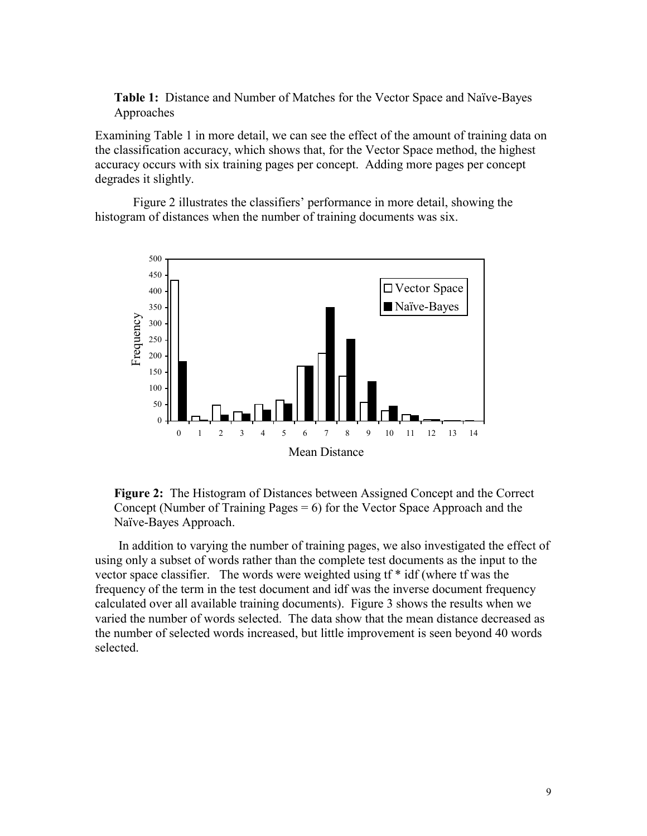**Table 1:** Distance and Number of Matches for the Vector Space and Naïve-Bayes Approaches

Examining Table 1 in more detail, we can see the effect of the amount of training data on the classification accuracy, which shows that, for the Vector Space method, the highest accuracy occurs with six training pages per concept. Adding more pages per concept degrades it slightly.

Figure 2 illustrates the classifiers' performance in more detail, showing the histogram of distances when the number of training documents was six.



**Figure 2:** The Histogram of Distances between Assigned Concept and the Correct Concept (Number of Training Pages  $= 6$ ) for the Vector Space Approach and the Naïve-Bayes Approach.

In addition to varying the number of training pages, we also investigated the effect of using only a subset of words rather than the complete test documents as the input to the vector space classifier. The words were weighted using tf \* idf (where tf was the frequency of the term in the test document and idf was the inverse document frequency calculated over all available training documents). Figure 3 shows the results when we varied the number of words selected. The data show that the mean distance decreased as the number of selected words increased, but little improvement is seen beyond 40 words selected.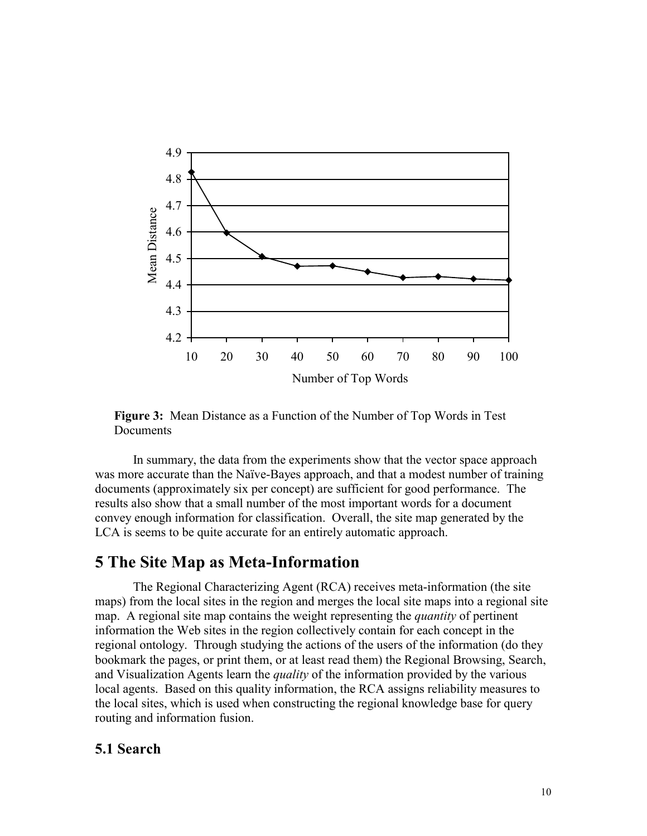

**Figure 3:** Mean Distance as a Function of the Number of Top Words in Test **Documents** 

 In summary, the data from the experiments show that the vector space approach was more accurate than the Naïve-Bayes approach, and that a modest number of training documents (approximately six per concept) are sufficient for good performance. The results also show that a small number of the most important words for a document convey enough information for classification. Overall, the site map generated by the LCA is seems to be quite accurate for an entirely automatic approach.

## **5 The Site Map as Meta-Information**

The Regional Characterizing Agent (RCA) receives meta-information (the site maps) from the local sites in the region and merges the local site maps into a regional site map. A regional site map contains the weight representing the *quantity* of pertinent information the Web sites in the region collectively contain for each concept in the regional ontology. Through studying the actions of the users of the information (do they bookmark the pages, or print them, or at least read them) the Regional Browsing, Search, and Visualization Agents learn the *quality* of the information provided by the various local agents. Based on this quality information, the RCA assigns reliability measures to the local sites, which is used when constructing the regional knowledge base for query routing and information fusion.

### **5.1 Search**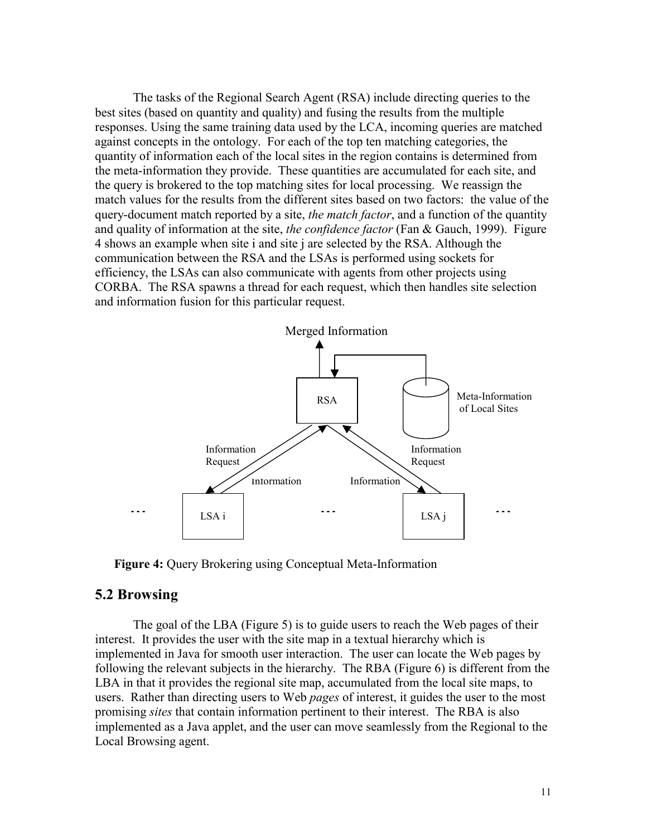The tasks of the Regional Search Agent (RSA) include directing queries to the best sites (based on quantity and quality) and fusing the results from the multiple responses. Using the same training data used by the LCA, incoming queries are matched against concepts in the ontology. For each of the top ten matching categories, the quantity of information each of the local sites in the region contains is determined from the meta-information they provide. These quantities are accumulated for each site, and the query is brokered to the top matching sites for local processing. We reassign the match values for the results from the different sites based on two factors: the value of the query-document match reported by a site, *the match factor*, and a function of the quantity and quality of information at the site, *the confidence factor* (Fan & Gauch, 1999). Figure 4 shows an example when site i and site j are selected by the RSA. Although the communication between the RSA and the LSAs is performed using sockets for efficiency, the LSAs can also communicate with agents from other projects using CORBA. The RSA spawns a thread for each request, which then handles site selection and information fusion for this particular request.



**Figure 4:** Query Brokering using Conceptual Meta-Information

#### **5.2 Browsing**

The goal of the LBA (Figure 5) is to guide users to reach the Web pages of their interest. It provides the user with the site map in a textual hierarchy which is implemented in Java for smooth user interaction. The user can locate the Web pages by following the relevant subjects in the hierarchy. The RBA (Figure 6) is different from the LBA in that it provides the regional site map, accumulated from the local site maps, to users. Rather than directing users to Web *pages* of interest, it guides the user to the most promising *sites* that contain information pertinent to their interest. The RBA is also implemented as a Java applet, and the user can move seamlessly from the Regional to the Local Browsing agent.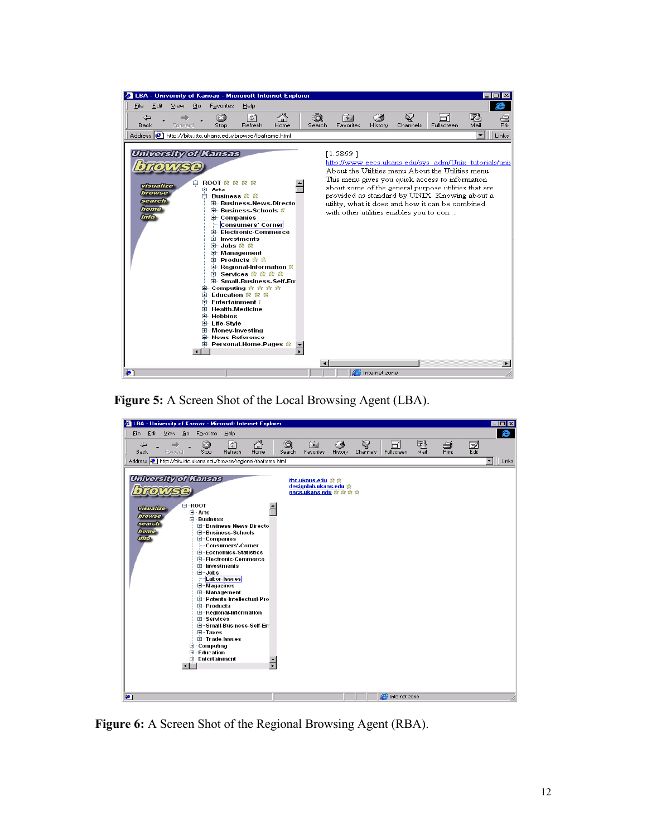|                               |                     |         |    |                                                                                                                                                                                                                                               |                                                                                                                                                                                                                                                                                               | ELBA - University of Kansas - Microsoft Internet Explorer |             |                                                     |               |               |                                                                                                                                                                                                                                                                                                                            |           |                       |
|-------------------------------|---------------------|---------|----|-----------------------------------------------------------------------------------------------------------------------------------------------------------------------------------------------------------------------------------------------|-----------------------------------------------------------------------------------------------------------------------------------------------------------------------------------------------------------------------------------------------------------------------------------------------|-----------------------------------------------------------|-------------|-----------------------------------------------------|---------------|---------------|----------------------------------------------------------------------------------------------------------------------------------------------------------------------------------------------------------------------------------------------------------------------------------------------------------------------------|-----------|-----------------------|
| File                          | Edit                | View    | Go | Favorites                                                                                                                                                                                                                                     | Help                                                                                                                                                                                                                                                                                          |                                                           |             |                                                     |               |               |                                                                                                                                                                                                                                                                                                                            |           |                       |
| ⇦<br><b>Back</b>              |                     | Forward |    | ſхI<br>Stop                                                                                                                                                                                                                                   | $\hat{\tau}^{\mathrm{p}}$<br>Refresh                                                                                                                                                                                                                                                          | Home                                                      | ര<br>Search | *<br>Favorites                                      | History       | Q<br>Channels | Fullscreen                                                                                                                                                                                                                                                                                                                 | 戰<br>Mail | Prin                  |
|                               |                     |         |    |                                                                                                                                                                                                                                               | Address (2) http://bits.ittc.ukans.edu/browse/lbaframe.html                                                                                                                                                                                                                                   |                                                           |             |                                                     |               |               |                                                                                                                                                                                                                                                                                                                            |           | Links                 |
| search<br><b>home</b><br>info | visualize<br>browse |         |    | University of Kansas<br>白-ROOT 食食食食<br><b>□ Arts</b><br>白 Business 念 念<br><b>⊞</b> Companies<br>⊞⊪lnvestments<br>⊞ Jobs ☆ ☆<br>田 Entertainment 1<br>国 Health-Medicine<br>田… Hobbies<br>⊟ Life-Style<br>⊞… Money-Investing<br>由 News-Reference | E-Business-News-Directo<br>由 Business Schools &<br>Consumers'-Corner<br>国… Electronic-Commerce<br><b>E</b> -Management<br>由 Products 衆 意<br>由 Regional Information &<br>由 Services 衆 衆 衆 衆<br>E Small-Business-Self-En<br>由 Computing 我 我 我 我<br>田 Education 衆 衆 衆<br>国 Personal-Home-Pages 食 |                                                           |             | [1.5869]<br>with other utilities enables you to con |               |               | http://www.eecs.ukans.edu/sys_adm/Unix_tutorials/unix<br>About the Utilities menu About the Utilities menu<br>This menu gives you quick access to information<br>about some of the general purpose utilities that are<br>provided as standard by UNIX. Knowing about a<br>utility, what it does and how it can be combined |           | $\blacktriangleright$ |
| æ1                            |                     |         |    |                                                                                                                                                                                                                                               |                                                                                                                                                                                                                                                                                               |                                                           |             |                                                     | Internet zone |               |                                                                                                                                                                                                                                                                                                                            |           |                       |

**Figure 5:** A Screen Shot of the Local Browsing Agent (LBA).



**Figure 6:** A Screen Shot of the Regional Browsing Agent (RBA).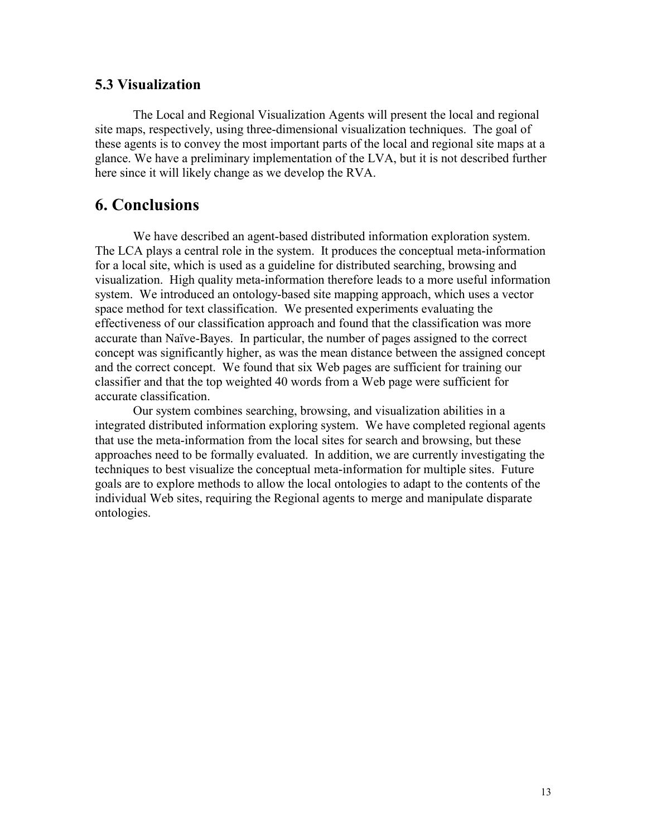### **5.3 Visualization**

The Local and Regional Visualization Agents will present the local and regional site maps, respectively, using three-dimensional visualization techniques. The goal of these agents is to convey the most important parts of the local and regional site maps at a glance. We have a preliminary implementation of the LVA, but it is not described further here since it will likely change as we develop the RVA.

# **6. Conclusions**

 We have described an agent-based distributed information exploration system. The LCA plays a central role in the system. It produces the conceptual meta-information for a local site, which is used as a guideline for distributed searching, browsing and visualization. High quality meta-information therefore leads to a more useful information system. We introduced an ontology-based site mapping approach, which uses a vector space method for text classification. We presented experiments evaluating the effectiveness of our classification approach and found that the classification was more accurate than Naïve-Bayes. In particular, the number of pages assigned to the correct concept was significantly higher, as was the mean distance between the assigned concept and the correct concept. We found that six Web pages are sufficient for training our classifier and that the top weighted 40 words from a Web page were sufficient for accurate classification.

 Our system combines searching, browsing, and visualization abilities in a integrated distributed information exploring system. We have completed regional agents that use the meta-information from the local sites for search and browsing, but these approaches need to be formally evaluated. In addition, we are currently investigating the techniques to best visualize the conceptual meta-information for multiple sites. Future goals are to explore methods to allow the local ontologies to adapt to the contents of the individual Web sites, requiring the Regional agents to merge and manipulate disparate ontologies.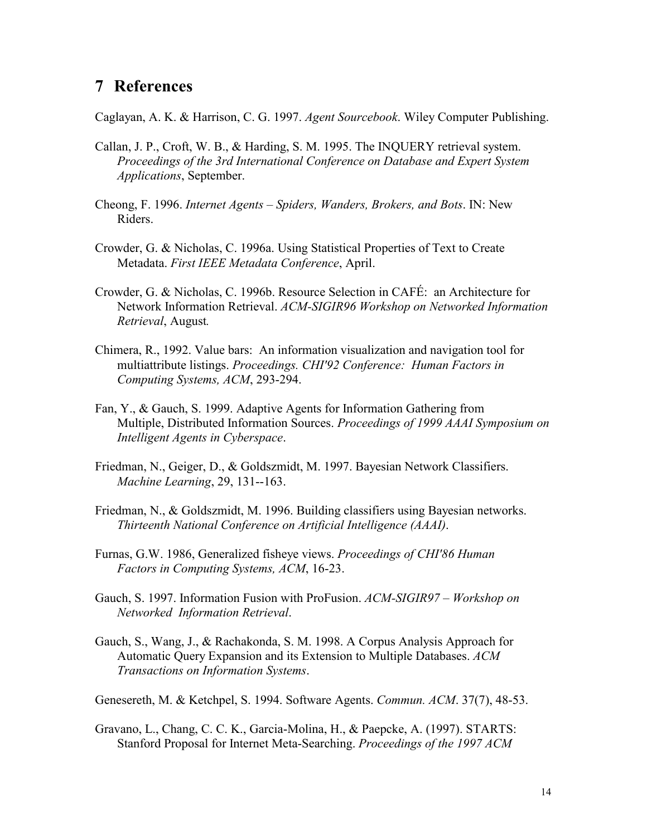## **7 References**

Caglayan, A. K. & Harrison, C. G. 1997. *Agent Sourcebook*. Wiley Computer Publishing.

- Callan, J. P., Croft, W. B., & Harding, S. M. 1995. The INQUERY retrieval system.  *Proceedings of the 3rd International Conference on Database and Expert System Applications*, September.
- Cheong, F. 1996. *Internet Agents Spiders, Wanders, Brokers, and Bots*. IN: New Riders.
- Crowder, G. & Nicholas, C. 1996a. Using Statistical Properties of Text to Create Metadata. *First IEEE Metadata Conference*, April.
- Crowder, G. & Nicholas, C. 1996b. Resource Selection in CAFÉ: an Architecture for Network Information Retrieval. *ACM-SIGIR96 Workshop on Networked Information Retrieval*, August*.*
- Chimera, R., 1992. Value bars: An information visualization and navigation tool for multiattribute listings. *Proceedings. CHI'92 Conference: Human Factors in Computing Systems, ACM*, 293-294.
- Fan, Y., & Gauch, S. 1999. Adaptive Agents for Information Gathering from Multiple, Distributed Information Sources. *Proceedings of 1999 AAAI Symposium on Intelligent Agents in Cyberspace*.
- Friedman, N., Geiger, D., & Goldszmidt, M. 1997. Bayesian Network Classifiers. *Machine Learning*, 29, 131--163.
- Friedman, N., & Goldszmidt, M. 1996. Building classifiers using Bayesian networks. *Thirteenth National Conference on Artificial Intelligence (AAAI)*.
- Furnas, G.W. 1986, Generalized fisheye views. *Proceedings of CHI'86 Human Factors in Computing Systems, ACM*, 16-23.
- Gauch, S. 1997. Information Fusion with ProFusion. *ACM-SIGIR97 Workshop on Networked Information Retrieval*.
- Gauch, S., Wang, J., & Rachakonda, S. M. 1998. A Corpus Analysis Approach for Automatic Query Expansion and its Extension to Multiple Databases. *ACM Transactions on Information Systems*.

Genesereth, M. & Ketchpel, S. 1994. Software Agents. *Commun. ACM*. 37(7), 48-53.

Gravano, L., Chang, C. C. K., Garcia-Molina, H., & Paepcke, A. (1997). STARTS: Stanford Proposal for Internet Meta-Searching. *Proceedings of the 1997 ACM*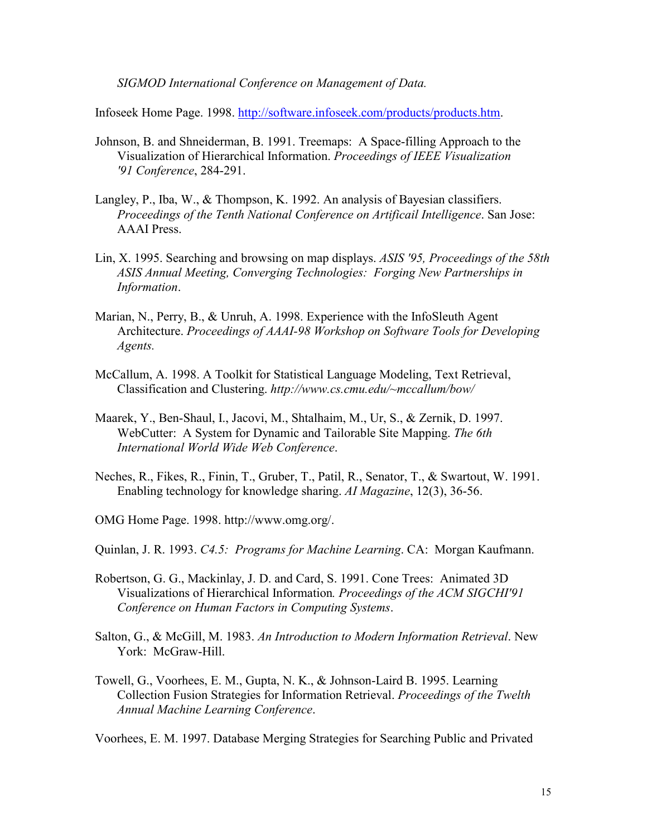*SIGMOD International Conference on Management of Data.*

Infoseek Home Page. 1998. http://software.infoseek.com/products/products.htm.

- Johnson, B. and Shneiderman, B. 1991. Treemaps: A Space-filling Approach to the Visualization of Hierarchical Information. *Proceedings of IEEE Visualization '91 Conference*, 284-291.
- Langley, P., Iba, W., & Thompson, K. 1992. An analysis of Bayesian classifiers. *Proceedings of the Tenth National Conference on Artificail Intelligence*. San Jose: AAAI Press.
- Lin, X. 1995. Searching and browsing on map displays. *ASIS '95, Proceedings of the 58th ASIS Annual Meeting, Converging Technologies: Forging New Partnerships in Information*.
- Marian, N., Perry, B., & Unruh, A. 1998. Experience with the InfoSleuth Agent Architecture. *Proceedings of AAAI-98 Workshop on Software Tools for Developing Agents.*
- McCallum, A. 1998. A Toolkit for Statistical Language Modeling, Text Retrieval, Classification and Clustering. *http://www.cs.cmu.edu/~mccallum/bow/*
- Maarek, Y., Ben-Shaul, I., Jacovi, M., Shtalhaim, M., Ur, S., & Zernik, D. 1997. WebCutter: A System for Dynamic and Tailorable Site Mapping. *The 6th International World Wide Web Conference*.
- Neches, R., Fikes, R., Finin, T., Gruber, T., Patil, R., Senator, T., & Swartout, W. 1991. Enabling technology for knowledge sharing. *AI Magazine*, 12(3), 36-56.
- OMG Home Page. 1998. http://www.omg.org/.

Quinlan, J. R. 1993. *C4.5: Programs for Machine Learning*. CA: Morgan Kaufmann.

- Robertson, G. G., Mackinlay, J. D. and Card, S. 1991. Cone Trees: Animated 3D Visualizations of Hierarchical Information*. Proceedings of the ACM SIGCHI'91 Conference on Human Factors in Computing Systems*.
- Salton, G., & McGill, M. 1983. *An Introduction to Modern Information Retrieval*. New York: McGraw-Hill.
- Towell, G., Voorhees, E. M., Gupta, N. K., & Johnson-Laird B. 1995. Learning Collection Fusion Strategies for Information Retrieval. *Proceedings of the Twelth Annual Machine Learning Conference*.

Voorhees, E. M. 1997. Database Merging Strategies for Searching Public and Privated